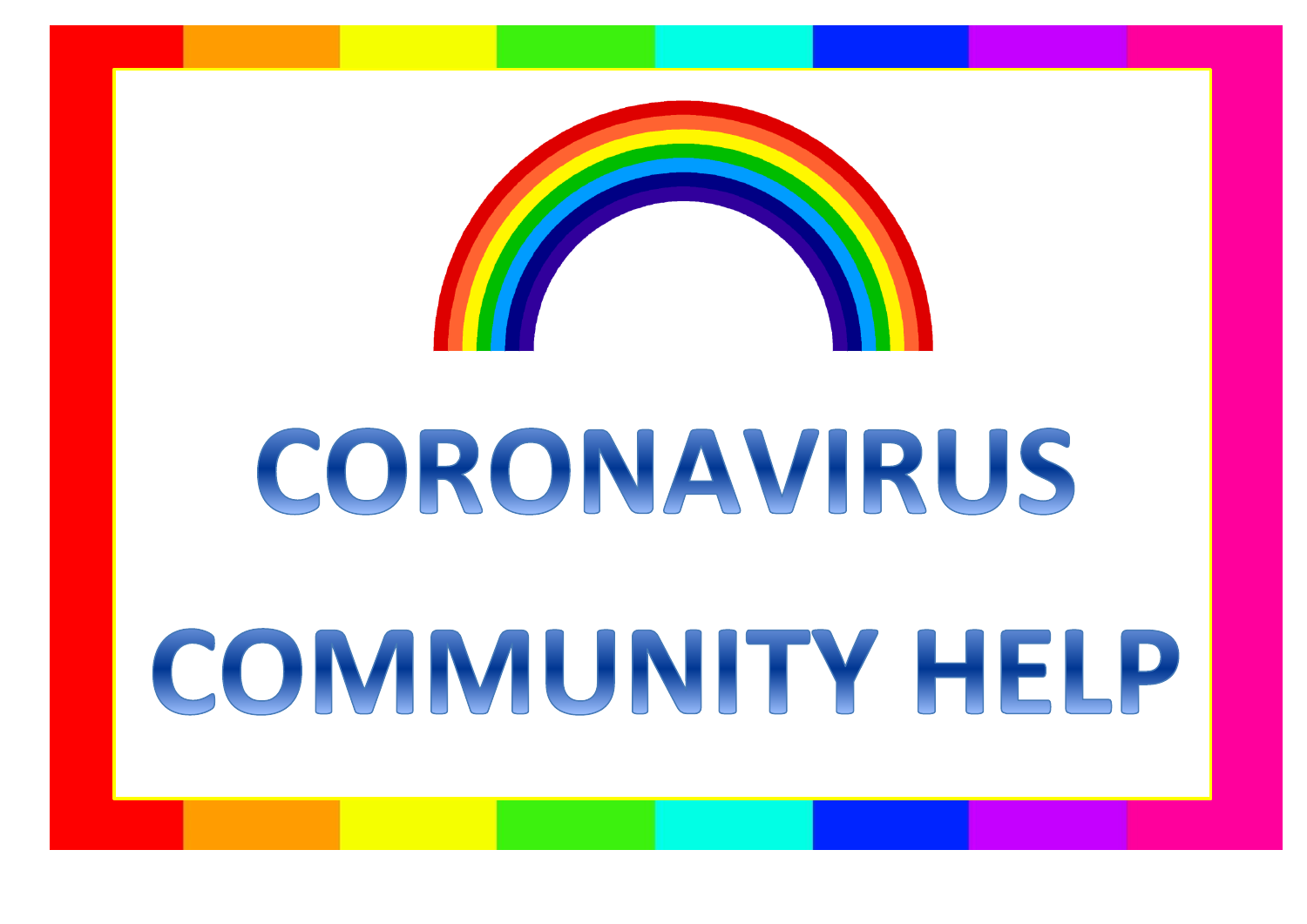

## CORONAVIRUS

# COMMUNITY HELP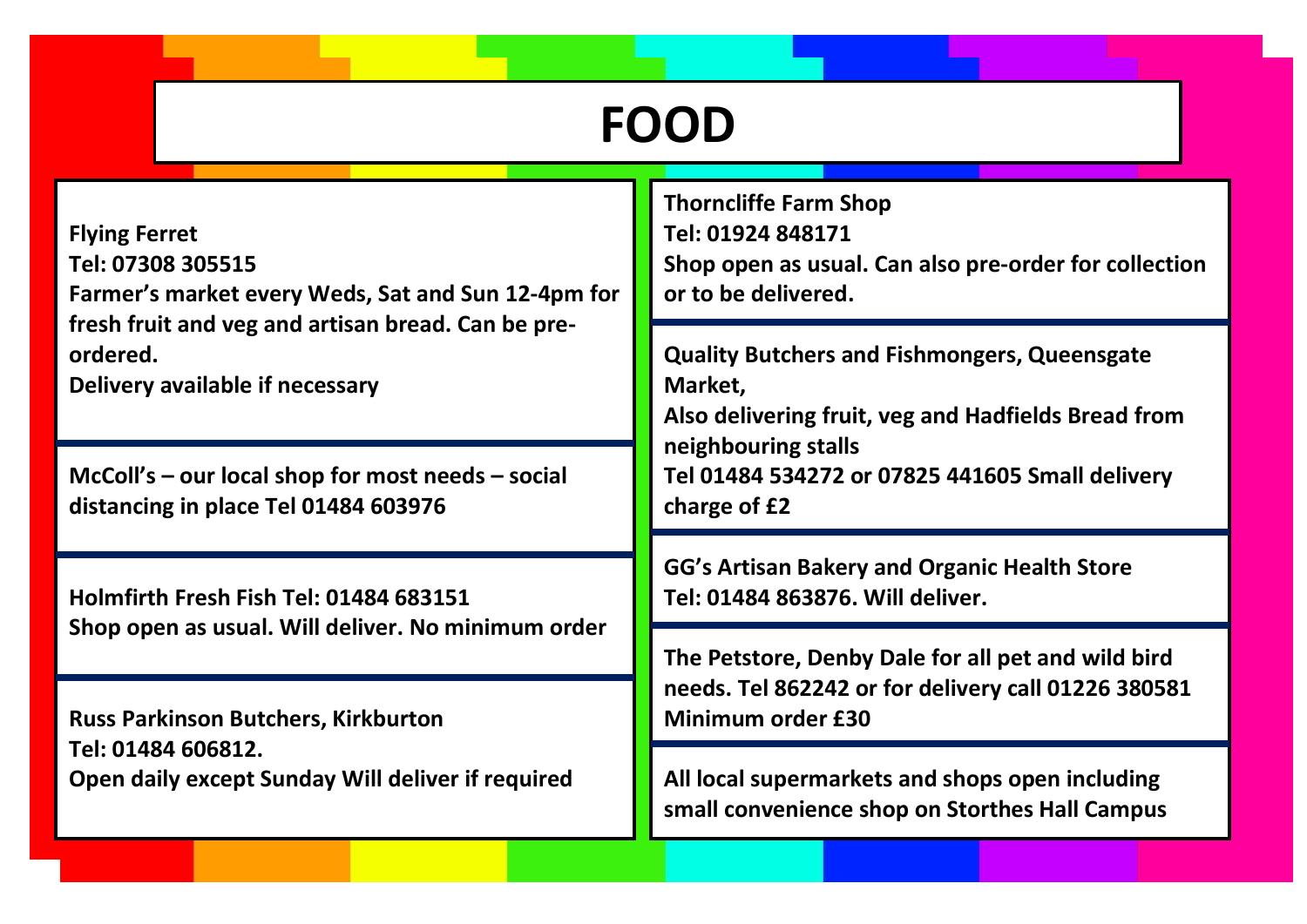### **FOOD**

| <b>Flying Ferret</b><br>Tel: 07308 305515<br>Farmer's market every Weds, Sat and Sun 12-4pm for<br>fresh fruit and veg and artisan bread. Can be pre-<br>ordered.<br>Delivery available if necessary | <b>Thorncliffe Farm Shop</b><br>Tel: 01924 848171<br>Shop open as usual. Can also pre-order for collection<br>or to be delivered. |
|------------------------------------------------------------------------------------------------------------------------------------------------------------------------------------------------------|-----------------------------------------------------------------------------------------------------------------------------------|
|                                                                                                                                                                                                      | <b>Quality Butchers and Fishmongers, Queensgate</b><br>Market,<br>Also delivering fruit, veg and Hadfields Bread from             |
| $McColl's - our local shop for most needs - social$<br>distancing in place Tel 01484 603976                                                                                                          | neighbouring stalls<br>Tel 01484 534272 or 07825 441605 Small delivery<br>charge of £2                                            |
| Holmfirth Fresh Fish Tel: 01484 683151<br>Shop open as usual. Will deliver. No minimum order                                                                                                         | GG's Artisan Bakery and Organic Health Store<br>Tel: 01484 863876. Will deliver.                                                  |
|                                                                                                                                                                                                      | The Petstore, Denby Dale for all pet and wild bird<br>needs. Tel 862242 or for delivery call 01226 380581<br>Minimum order £30    |
| <b>Russ Parkinson Butchers, Kirkburton</b><br>Tel: 01484 606812.<br>Open daily except Sunday Will deliver if required                                                                                |                                                                                                                                   |
|                                                                                                                                                                                                      | All local supermarkets and shops open including<br>small convenience shop on Storthes Hall Campus                                 |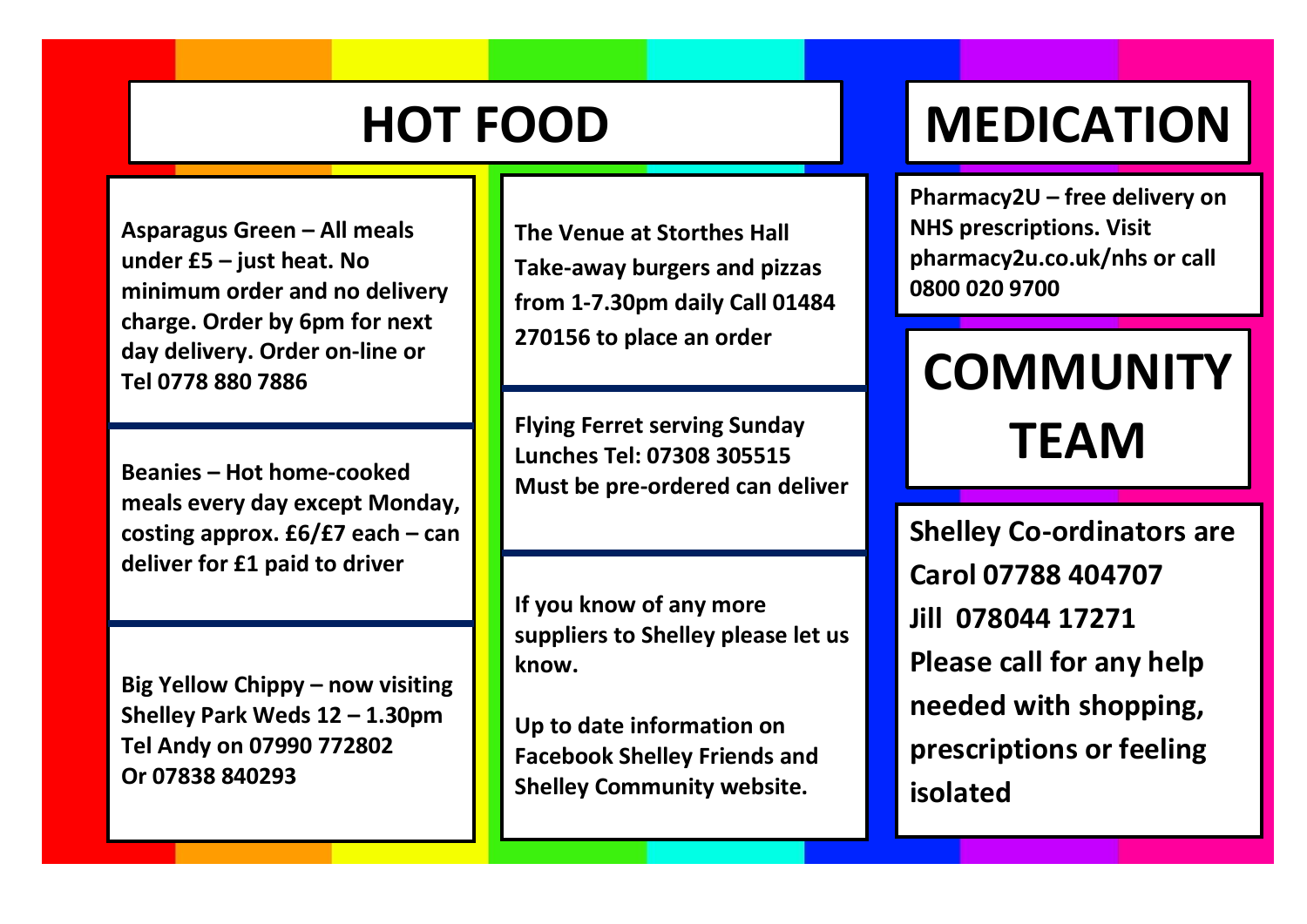**Asparagus Green – All meals under £5 – just heat. No minimum order and no delivery charge. Order by 6pm for next day delivery. Order on-line or Tel 0778 880 7886**

**Beanies – Hot home-cooked meals every day except Monday, costing approx. £6/£7 each – can deliver for £1 paid to driver**

**Big Yellow Chippy – now visiting Shelley Park Weds 12 – 1.30pm Tel Andy on 07990 772802 Or 07838 840293**

**The Venue at Storthes Hall Take-away burgers and pizzas from 1-7.30pm daily Call 01484 270156 to place an order**

**Flying Ferret serving Sunday Lunches Tel: 07308 305515 Must be pre-ordered can deliver**

**If you know of any more suppliers to Shelley please let us know.**

**Up to date information on Facebook Shelley Friends and Shelley Community website.**

### **HOT FOOD MEDICATION**

**Pharmacy2U – free delivery on NHS prescriptions. Visit pharmacy2u.co.uk/nhs or call 0800 020 9700**

## **COMMUNITY TEAM**

**Shelley Co-ordinators are Carol 07788 404707 Jill 078044 17271 Please call for any help needed with shopping, prescriptions or feeling isolated**